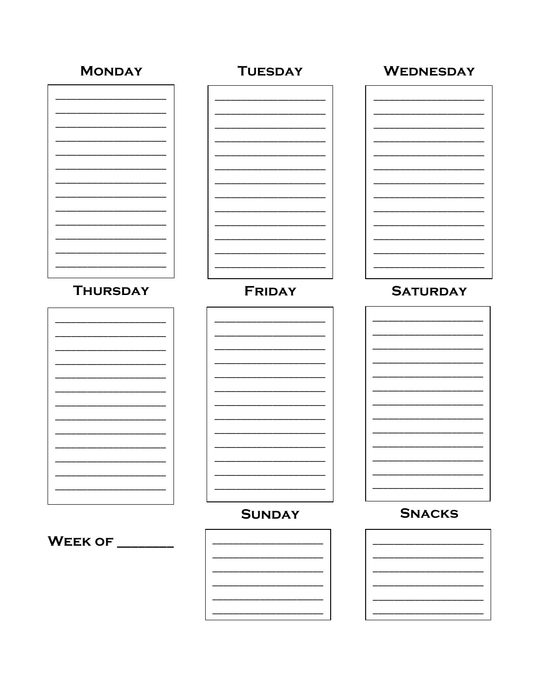